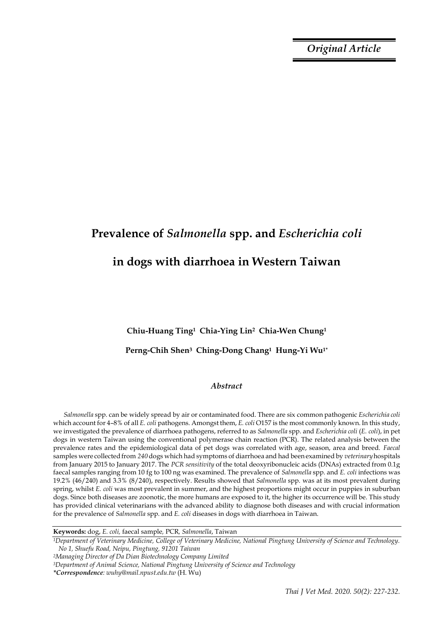*Original Article*

# **Prevalence of** *Salmonella* **spp. and** *Escherichia coli* **in dogs with diarrhoea in Western Taiwan**

## **Chiu-Huang Ting1 Chia-Ying Lin2 Chia-Wen Chung<sup>1</sup>**

## **Perng-Chih Shen3 Ching-Dong Chang1 Hung-Yi Wu1\***

## *Abstract*

*Salmonella* spp. can be widely spread by air or contaminated food. There are six common pathogenic *Escherichia coli*  which account for 4–8% of all *E. coli* pathogens. Amongst them, *E. coli* O157 is the most commonly known. In this study, we investigated the prevalence of diarrhoea pathogens, referred to as *Salmonella* spp. and *Escherichia coli* (*E. coli*), in pet dogs in western Taiwan using the conventional polymerase chain reaction (PCR). The related analysis between the prevalence rates and the epidemiological data of pet dogs was correlated with age, season, area and breed. *Faecal* samples were collected from *240* dogs which had symptoms of diarrhoea and had been examined by *veterinary*hospitals from January 2015 to January 2017. The *PCR sensitivity* of the total deoxyribonucleic acids (DNAs) extracted from 0.1g faecal samples ranging from 10 fg to 100 ng was examined. The prevalence of *Salmonella* spp. and *E. coli* infections was 19.2% (46/240) and 3.3% (8/240), respectively. Results showed that *Salmonella* spp. was at its most prevalent during spring, whilst *E. coli* was most prevalent in summer, and the highest proportions might occur in puppies in suburban dogs. Since both diseases are zoonotic, the more humans are exposed to it, the higher its occurrence will be. This study has provided clinical veterinarians with the advanced ability to diagnose both diseases and with crucial information for the prevalence of *Salmonella* spp. and *E. coli* diseases in dogs with diarrhoea in Taiwan.

**Keywords:** dog, *E. coli,* faecal sample*,* PCR*, Salmonella*, Taiwan

*<sup>1</sup>Department of Veterinary Medicine, College of Veterinary Medicine, National Pingtung University of Science and Technology. No 1, Shuefu Road, Neipu, Pingtung, 91201 Taiwan*

*<sup>2</sup>Managing Director of Da Dian Biotechnology Company Limited*

*<sup>3</sup>Department of Animal Science, National Pingtung University of Science and Technology*

*<sup>\*</sup>Correspondence: wuhy@mail.npust.edu.tw* (H. Wu)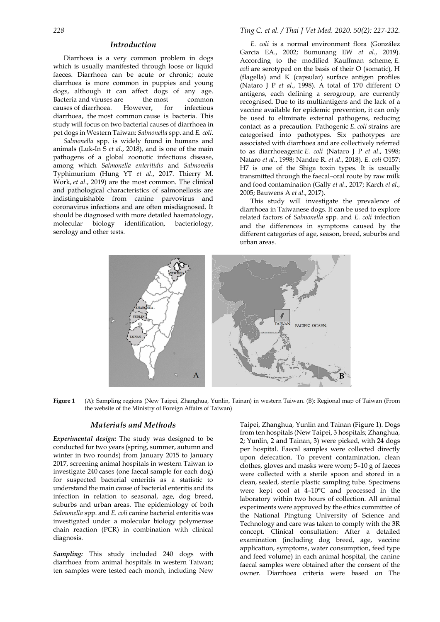### *Introduction*

Diarrhoea is a very common problem in dogs which is usually manifested through loose or liquid faeces. Diarrhoea can be acute or chronic; acute diarrhoea is more common in puppies and young dogs, although it can affect dogs of any age. Bacteria and viruses are the most common causes of diarrhoea. However, for infectious diarrhoea, the most common cause is bacteria. This study will focus on two bacterial causes of diarrhoea in pet dogs in Western Taiwan: *Salmonella* spp. and *E. coli*.

*Salmonella* spp. is widely found in humans and animals [\(Luk-In S](https://www.ncbi.nlm.nih.gov/pubmed/?term=Luk-In%20S%5BAuthor%5D&cauthor=true&cauthor_uid=29605531) *et al*., 2018), and is one of the main pathogens of a global zoonotic infectious disease, among which *Salmonella enteritidis* and *Salmonella* Typhimurium (Hung YT *et al*., 2017. Thierry M. Work, *et al*., 2019) are the most common. The clinical and pathological characteristics of salmonellosis are indistinguishable from canine parvovirus and coronavirus infections and are often misdiagnosed. It should be diagnosed with more detailed haematology, molecular biology identification, bacteriology, serology and other tests.

## *228 Ting C. et al. / Thai J Vet Med. 2020. 50(2): 227-232.*

*E. coli* is a normal environment flora (González Garcia EA., 2002; [Bumunang EW](https://www.ncbi.nlm.nih.gov/pubmed/?term=Bumunang%20EW%5BAuthor%5D&cauthor=true&cauthor_uid=31434244) *et al*., 2019). According to the modified Kauffman scheme, *E. coli* are serotyped on the basis of their O (somatic), H (flagella) and K (capsular) surface antigen profiles (Nataro J P *et al*., 1998). A total of 170 different O antigens, each defining a serogroup, are currently recognised. Due to its multiantigens and the lack of a vaccine available for epidemic prevention, it can only be used to eliminate external pathogens, reducing contact as a precaution. Pathogenic *E*. *coli* strains are categorised into pathotypes. Six pathotypes are associated with diarrhoea and are collectively referred to as diarrhoeagenic *E. coli* (Nataro J P *et al*., 1998; Nataro *et al*., 1998; Nandre R. *et al*., 2018). *E. coli* O157: H7 is one of the Shiga toxin types. It is usually transmitted through the faecal–oral route by raw milk and food contamination (Gally *et al*., 2017; Karch *et al*., 2005[; Bauwens A](https://www.ncbi.nlm.nih.gov/pubmed/?term=Bauwens%20A%5BAuthor%5D&cauthor=true&cauthor_uid=28970221) *et al*., 2017).

This study will investigate the prevalence of diarrhoea in Taiwanese dogs. It can be used to explore related factors of *Salmonella* spp*.* and *E. coli* infection and the differences in symptoms caused by the different categories of age, season, breed, suburbs and urban areas.



**Figure 1** (A): Sampling regions (New Taipei, Zhanghua, Yunlin, Tainan) in western Taiwan. (B): Regional map of Taiwan (From the website of the Ministry of Foreign Affairs of Taiwan)

## *Materials and Methods*

*Experimental design:* The study was designed to be conducted for two years (spring, summer, autumn and winter in two rounds) from January 2015 to January 2017, screening animal hospitals in western Taiwan to investigate 240 cases (one faecal sample for each dog) for suspected bacterial enteritis as a statistic to understand the main cause of bacterial enteritis and its infection in relation to seasonal, age, dog breed, suburbs and urban areas. The epidemiology of both *Salmonella* spp. and *E. coli* canine bacterial enteritis was investigated under a molecular biology polymerase chain reaction (PCR) in combination with clinical diagnosis.

*Sampling:* This study included 240 dogs with diarrhoea from animal hospitals in western Taiwan; ten samples were tested each month, including New

Taipei, Zhanghua, Yunlin and Tainan (Figure 1). Dogs from ten hospitals (New Taipei, 3 hospitals; Zhanghua, 2; Yunlin, 2 and Tainan, 3) were picked, with 24 dogs per hospital. Faecal samples were collected directly upon defecation. To prevent contamination, clean clothes, gloves and masks were worn; 5–10 g of faeces were collected with a sterile spoon and stored in a clean, sealed, sterile plastic sampling tube. Specimens were kept cool at 4–10°C and processed in the laboratory within two hours of collection. All animal experiments were approved by the ethics committee of the National Pingtung University of Science and Technology and care was taken to comply with the 3R concept. Clinical consultation: After a detailed examination (including dog breed, age, vaccine application, symptoms, water consumption, feed type and feed volume) in each animal hospital, the canine faecal samples were obtained after the consent of the owner. Diarrhoea criteria were based on The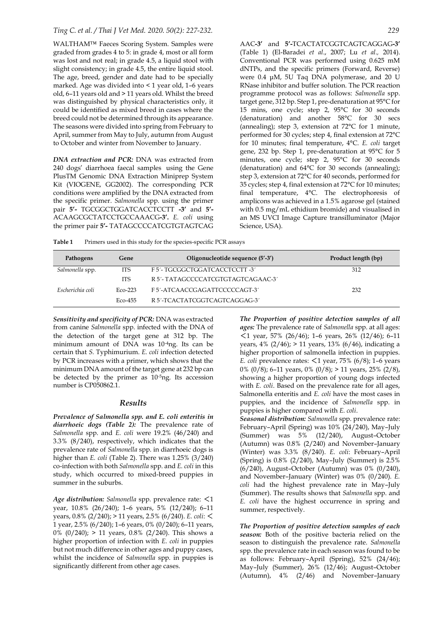WALTHAM™ Faeces Scoring System. Samples were graded from grades 4 to 5: in grade 4, most or all form was lost and not real; in grade 4.5, a liquid stool with slight consistency; in grade 4.5, the entire liquid stool. The age, breed, gender and date had to be specially marked. Age was divided into < 1 year old, 1–6 years old, 6–11 years old and > 11 years old. Whilst the breed was distinguished by physical characteristics only, it could be identified as mixed breed in cases where the breed could not be determined through its appearance. The seasons were divided into spring from February to April, summer from May to July, autumn from August to October and winter from November to January.

*DNA extraction and PCR:* DNA was extracted from 240 dogs' diarrhoea faecal samples using the Gene PlusTM Genomic DNA Extraction Miniprep System Kit (VIOGENE, GG2002). The corresponding PCR conditions were amplified by the DNA extracted from the specific primer. *Salmonella* spp. using the primer pair **5'-** TGCGGCTGGATCACCTCCTT **-3'** and **5'-** ACAAGCGCTATCCTGCCAAACG**-3'.** *E. coli* using the primer pair **5'-** TATAGCCCCATCGTGTAGTCAG

AAC**-3'** and **5'-**TCACTATCGGTCAGTCAGGAG**-3'** (Table 1) (El-Baradei *et al*., 2007; Lu *et al.,* 2014). Conventional PCR was performed using 0.625 mM dNTPs, and the specific primers (Forward, Reverse) were 0.4 μM, 5U Taq DNA polymerase, and 20 U RNase inhibitor and buffer solution. The PCR reaction programme protocol was as follows: *Salmonella* spp. target gene, 312 bp. Step 1, pre-denaturation at 95°C for 15 mins, one cycle; step 2, 95°C for 30 seconds (denaturation) and another 58°C for 30 secs (annealing); step 3, extension at 72°C for 1 minute, performed for 30 cycles; step 4, final extension at 72°C for 10 minutes; final temperature, 4°C. *E. coli* target gene, 232 bp. Step 1, pre-denaturation at 95°C for 5 minutes, one cycle; step 2, 95°C for 30 seconds (denaturation) and 64°C for 30 seconds (annealing); step 3, extension at 72°C for 40 seconds, performed for 35 cycles; step 4, final extension at 72°C for 10 minutes; final temperature, 4°C. The electrophoresis of amplicons was achieved in a 1.5% agarose gel (stained with 0.5 mg/mL ethidium bromide) and visualised in an MS UVCI Image Capture transilluminator (Major Science, USA).

Table 1 Primers used in this study for the species-specific PCR assays

| Pathogens        | Gene       | Oligonucleotide sequence (5'-3')   | Product length (bp) |
|------------------|------------|------------------------------------|---------------------|
| Salmonella spp.  | <b>ITS</b> | F 5'- TGCGGCTGGATCACCTCCTT -3'     | 312                 |
|                  | <b>ITS</b> | R 5'- TATAGCCCCATCGTGTAGTCAGAAC-3' |                     |
| Escherichia coli | $ECO-223$  | F5'-ATCAACCGAGATTCCCCCAGT-3'       | 232                 |
|                  | Eco-455    | R 5'-TCACTATCGGTCAGTCAGGAG-3'      |                     |

*Sensitivity and specificity of PCR:* DNA was extracted from canine *Salmonella* spp. infected with the DNA of the detection of the target gene at 312 bp. The minimum amount of DNA was 10-4ng. Its can be certain that *S.* Typhimurium. *E. coli* infection detected by PCR increases with a primer, which shows that the minimum DNA amount of the target gene at 232 bp can be detected by the primer as 10-5ng. Its accession number is CP050862.1.

#### *Results*

*Prevalence of Salmonella spp. and E. coli enteritis in diarrhoeic dogs (Table 2):* The prevalence rate of *Salmonella* spp. and *E. coli* were 19.2% (46/240) and 3.3% (8/240), respectively, which indicates that the prevalence rate of *Salmonella* spp. in diarrhoeic dogs is higher than *E. coli* (Table 2). There was 1.25% (3/240) co-infection with both *Salmonella* spp. and *E. coli* in this study, which occurred to mixed-breed puppies in summer in the suburbs.

*Age distribution: Salmonella* spp. prevalence rate: <1 year, 10.8% (26/240); 1–6 years, 5% (12/240); 6–11 years, 0.8% (2/240); > 11 years, 2.5% (6/240). *E. coli*: < 1 year, 2.5% (6/240); 1–6 years, 0% (0/240); 6–11 years, 0%  $(0/240)$ ; > 11 years, 0.8%  $(2/240)$ . This shows a higher proportion of infection with *E. coli* in puppies but not much difference in other ages and puppy cases, whilst the incidence of *Salmonella* spp. in puppies is significantly different from other age cases.

*The Proportion of positive detection samples of all ages:* The prevalence rate of *Salmonella* spp. at all ages: <1 year, 57% (26/46); 1–6 years, 26% (12/46); 6–11 years,  $4\%$  (2/46); > 11 years,  $13\%$  (6/46), indicating a higher proportion of salmonella infection in puppies. *E. coli* prevalence rates: <1 year, 75% (6/8); 1–6 years 0% (0/8); 6–11 years, 0% (0/8); > 11 years, 25% (2/8), showing a higher proportion of young dogs infected with *E. coli*. Based on the prevalence rate for all ages, Salmonella enteritis and *E. coli* have the most cases in puppies, and the incidence of *Salmonella* spp. in puppies is higher compared with *E. coli*.

*Seasonal distribution: Salmonella* spp. prevalence rate: February–April (Spring) was 10% (24/240), May–July (Summer) was 5% (12/240), August–October (Autumn) was 0.8% (2/240) and November–January (Winter) was 3.3% (8/240). *E. coli*: February–April (Spring) is 0.8% (2/240), May–July (Summer) is 2.5% (6/240), August–October (Autumn) was 0% (0/240), and November–January (Winter) was 0% (0/240). *E. coli* had the highest prevalence rate in May–July (Summer). The results shows that *Salmonella* spp. and *E. coli* have the highest occurrence in spring and summer, respectively.

*The Proportion of positive detection samples of each season:* Both of the positive bacteria relied on the season to distinguish the prevalence rate. *Salmonella* spp. the prevalence rate in each season was found to be as follows: February–April (Spring), 52% (24/46); May–July (Summer), 26% (12/46); August–October (Autumn), 4% (2/46) and November–January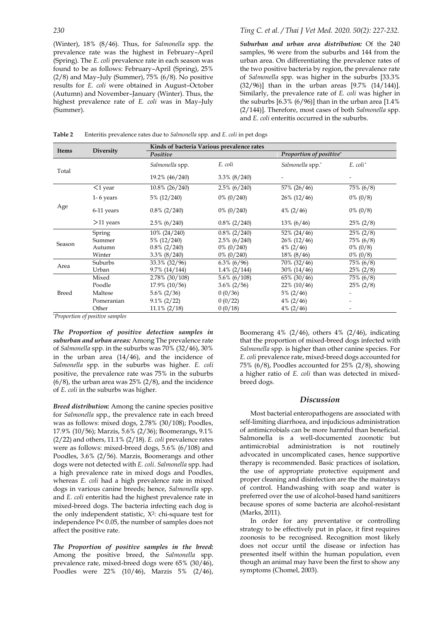(Winter), 18% (8/46). Thus, for *Salmonella* spp. the prevalence rate was the highest in February–April (Spring). The *E. coli* prevalence rate in each season was found to be as follows: February–April (Spring), 25%  $(2/8)$  and May–July (Summer),  $75\%$   $(6/8)$ . No positive results for *E. coli* were obtained in August–October (Autumn) and November–January (Winter). Thus, the highest prevalence rate of *E. coli* was in May–July

*Suburban and urban area distribution:* Of the 240 samples, 96 were from the suburbs and 144 from the urban area. On differentiating the prevalence rates of the two positive bacteria by region, the prevalence rate of *Salmonella* spp. was higher in the suburbs [33.3% (32/96)] than in the urban areas [9.7% (14/144)]. Similarly, the prevalence rate of *E. coli* was higher in the suburbs [6.3% (6/96)] than in the urban area [1.4% (2/144)]. Therefore, most cases of both *Salmonella* spp. and *E. coli* enteritis occurred in the suburbs.

**Table 2** Enteritis prevalence rates due to *Salmonella* spp. and *E. coli* in pet dogs

| Items  | <b>Diversity</b>                               | Kinds of bacteria Various prevalence rates |                 |                         |                      |
|--------|------------------------------------------------|--------------------------------------------|-----------------|-------------------------|----------------------|
|        |                                                | Positive                                   |                 | Proportion of positive* |                      |
| Total  |                                                | Salmonella spp.                            | E. coli         | Salmonella spp."        | E. coli <sup>*</sup> |
|        |                                                | 19.2% (46/240)                             | $3.3\%$ (8/240) |                         |                      |
| Age    | $<$ 1 year                                     | 10.8% (26/240)                             | $2.5\%$ (6/240) | 57% (26/46)             | $75\%~(6/8)$         |
|        | $1-6$ years                                    | 5% (12/240)                                | $0\%$ (0/240)   | 26% (12/46)             | $0\% (0/8)$          |
|        | 6-11 years                                     | $0.8\%$ (2/240)                            | $0\%$ (0/240)   | $4\% (2/46)$            | $0\% (0/8)$          |
|        | $>11$ years                                    | $2.5\%$ (6/240)                            | $0.8\%$ (2/240) | $13\% (6/46)$           | $25\% (2/8)$         |
| Season | Spring                                         | 10% (24/240)                               | $0.8\%$ (2/240) | 52% (24/46)             | $25\% (2/8)$         |
|        | Summer                                         | 5% (12/240)                                | $2.5\%$ (6/240) | 26% (12/46)             | 75% (6/8)            |
|        | Autumn                                         | $0.8\%$ (2/240)                            | $0\%$ (0/240)   | $4\%$ (2/46)            | $0\% (0/8)$          |
|        | Winter                                         | $3.3\%$ (8/240)                            | $0\% (0/240)$   | $18\% (8/46)$           | $0\% (0/8)$          |
| Area   | Suburbs                                        | 33.3% (32/96)                              | $6.3\%$ (6/96)  | 70% (32/46)             | 75% (6/8)            |
|        | Urban                                          | 9.7% (14/144)                              | $1.4\%$ (2/144) | $30\% (14/46)$          | $25\% (2/8)$         |
| Breed  | Mixed                                          | $2.78\%$ (30/108)                          | $5.6\%$ (6/108) | 65% (30/46)             | 75% (6/8)            |
|        | Poodle                                         | 17.9% (10/56)                              | $3.6\% (2/56)$  | $22\%$ (10/46)          | $25\% (2/8)$         |
|        | Maltese                                        | $5.6\%$ (2/36)                             | 0(0/36)         | $5\%$ (2/46)            |                      |
|        | Pomeranian                                     | $9.1\% (2/22)$                             | 0(0/22)         | $4\%$ (2/46)            |                      |
|        | Other<br>$\cdot$<br>$\epsilon$<br>$\mathbf{I}$ | $11.1\% (2/18)$                            | 0(0/18)         | $4\% (2/46)$            |                      |

\**Proportion of positive samples*

*The Proportion of positive detection samples in suburban and urban areas:* Among The prevalence rate of *Salmonella* spp. in the suburbs was 70% (32/46), 30% in the urban area (14/46), and the incidence of *Salmonella* spp. in the suburbs was higher. *E. coli*  positive, the prevalence rate was 75% in the suburbs  $(6/8)$ , the urban area was 25%  $(2/8)$ , and the incidence of *E. coli* in the suburbs was higher.

*Breed distribution:* Among the canine species positive for *Salmonella* spp., the prevalence rate in each breed was as follows: mixed dogs, 2.78% (30/108); Poodles, 17.9% (10/56); Marzis, 5.6% (2/36); Boomerangs, 9.1% (2/22) and others, 11.1% (2/18). *E. coli* prevalence rates were as follows: mixed-breed dogs, 5.6% (6/108) and Poodles, 3.6% (2/56). Marzis, Boomerangs and other dogs were not detected with *E. coli*. *Salmonella* spp. had a high prevalence rate in mixed dogs and Poodles, whereas *E. coli* had a high prevalence rate in mixed dogs in various canine breeds; hence, *Salmonella* spp. and *E. coli* enteritis had the highest prevalence rate in mixed-breed dogs. The bacteria infecting each dog is the only independent statistic, X2: chi-square test for independence P< 0.05, the number of samples does not affect the positive rate.

*The Proportion of positive samples in the breed:* Among the positive breed, the *Salmonella* spp. prevalence rate, mixed-breed dogs were 65% (30/46), Poodles were 22% (10/46), Marzis 5% (2/46),

Boomerang  $4\%$  (2/46), others  $4\%$  (2/46), indicating that the proportion of mixed-breed dogs infected with *Salmonella* spp. is higher than other canine species. For *E. coli* prevalence rate, mixed-breed dogs accounted for 75% (6/8), Poodles accounted for 25% (2/8), showing a higher ratio of *E. coli* than was detected in mixedbreed dogs.

#### *Discussion*

Most bacterial enteropathogens are associated with self-limiting diarrhoea, and injudicious administration of antimicrobials can be more harmful than beneficial. Salmonella is a well-documented zoonotic but antimicrobial administration is not routinely advocated in uncomplicated cases, hence supportive therapy is recommended. Basic practices of isolation, the use of appropriate protective equipment and proper cleaning and disinfection are the the mainstays of control. Handwashing with soap and water is preferred over the use of alcohol-based hand sanitizers because spores of some bacteria are alcohol-resistant (Marks, 2011).

In order for any preventative or controlling strategy to be effectively put in place, it first requires zoonosis to be recognised. Recognition most likely does not occur until the disease or infection has presented itself within the human population, even though an animal may have been the first to show any symptoms (Chomel, 2003).

(Summer).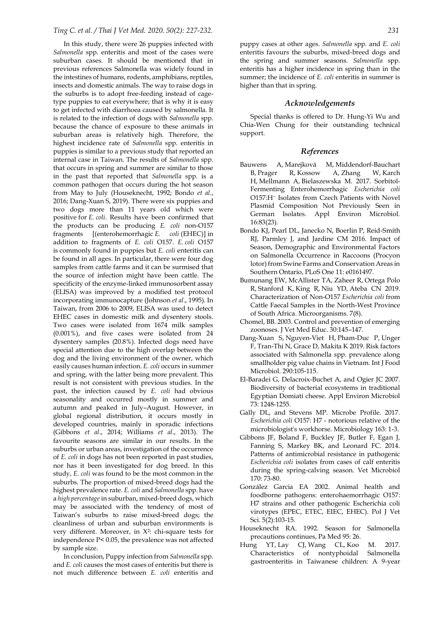### *Ting C. et al. / Thai J Vet Med. 2020. 50(2): 227-232. 231*

In this study, there were 26 puppies infected with *Salmonella* spp. enteritis and most of the cases were suburban cases. It should be mentioned that in previous references Salmonella was widely found in the intestines of humans, rodents, amphibians, reptiles, insects and domestic animals. The way to raise dogs in the suburbs is to adopt free-feeding instead of cagetype puppies to eat everywhere; that is why it is easy to get infected with diarrhoea caused by salmonella. It is related to the infection of dogs with *Salmonella* spp. because the chance of exposure to these animals in suburban areas is relatively high. Therefore, the highest incidence rate of *Salmonella* spp. enteritis in puppies is similar to a previous study that reported an internal case in Taiwan. The results of *Salmonella* spp. that occurs in spring and summer are similar to those in the past that reported that *Salmonella* spp. is a common pathogen that occurs during the hot season from May to July (Houseknecht, 1992; Bondo *et al*., 2016[; Dang-Xuan S,](https://www.ncbi.nlm.nih.gov/pubmed/?term=Dang-Xuan%20S%5BAuthor%5D&cauthor=true&cauthor_uid=30317109) 2019). There were six puppies and two dogs more than 11 years old which were positive for *E. coli*. Results have been confirmed that the products can be producing *E. coli* non-O157 fragments [(enterohemorrhagic *E. coli* (EHEC)] in addition to fragments of *E. coli* O157. *E. coli* O157 is commonly found in puppies but *E. coli* enteritis can be found in all ages. In particular, there were four dog samples from cattle farms and it can be surmised that the source of infection might have been cattle. The specificity of the enzyme-linked immunosorbent assay (ELISA) was improved by a modified test protocol incorporating immunocapture (Johnson *et al*., 1995). In Taiwan, from 2006 to 2009, ELISA was used to detect EHEC cases in domestic milk and dysentery stools. Two cases were isolated from 1674 milk samples (0.001%), and five cases were isolated from 24 dysentery samples (20.8%). Infected dogs need have special attention due to the high overlap between the dog and the living environment of the owner, which easily causes human infection. *E. coli* occurs in summer and spring, with the latter being more prevalent. This result is not consistent with previous studies. In the past, the infection caused by *E. coli* had obvious seasonality and occurred mostly in summer and autumn and peaked in July–August. However, in global regional distribution, it occurs mostly in developed countries, mainly in sporadic infections (Gibbons *et al*., 2014; Williams *et al*., 2013). The favourite seasons are similar in our results. In the suburbs or urban areas, investigation of the occurrence of *E. coli* in dogs has not been reported in past studies, nor has it been investigated for dog breed. In this study, *E. coli* was found to be the most common in the suburbs. The proportion of mixed-breed dogs had the highest prevalence rate. *E. coli* and *Salmonella* spp. have a *high percentage* in suburban, mixed-breed dogs, which may be associated with the tendency of most of Taiwan's suburbs to raise mixed-breed dogs; the cleanliness of urban and suburban environments is very different. Moreover, in X2: chi-square tests for independence P< 0.05, the prevalence was not affected by sample size.

In conclusion, Puppy infection from *Salmonella* spp. and *E. coli* causes the most cases of enteritis but there is not much difference between *E. coli* enteritis and

puppy cases at other ages. *Salmonella* spp. and *E. coli*  enteritis favours the suburbs, mixed-breed dogs and the spring and summer seasons. *Salmonella* spp. enteritis has a higher incidence in spring than in the summer; the incidence of *E. coli* enteritis in summer is higher than that in spring.

## *Acknowledgements*

Special thanks is offered to Dr. Hung-Yi Wu and Chia-Wen Chung for their outstanding technical support.

#### *References*

- Bauwens A, Marejková M, Middendorf-Bauchart B, Prager R, Kossow A, Zhang W, Karch H, Mellmann A, Bielaszewska M. 2017. Sorbitol-Fermenting Enterohemorrhagic *Escherichia coli* O157:H<sup>−</sup> Isolates from Czech Patients with Novel Plasmid Composition Not Previously Seen in German Isolates. Appl Environ Microbiol. 16:83(23).
- Bondo KJ, Pearl DL, Janecko N, Boerlin P, Reid-Smith RJ, Parmley J, and Jardine CM 2016. Impact of Season, Demographic and Environmental Factors on Salmonella Occurrence in Raccoons (Procyon lotor) from Swine Farms and Conservation Areas in Southern Ontario, PLoS One 11: e0161497.
- Bumunang EW, McAllister TA, Zaheer R, Ortega Polo R, Stanford K, King R, Niu YD, Ateba CN 2019. Characterization of Non-O157 *Escherichia coli* from Cattle Faecal Samples in the North-West Province of South Africa. Microorganisms. 7(8).
- Chomel, BB. 2003. Control and prevention of emerging zoonoses. J Vet Med Educ. 30:145–147.
- Dang-Xuan S, Nguyen-Viet H, Pham-Duc P, Unger F, Tran-Thi N, Grace D, Makita K 2019. Risk factors associated with Salmonella spp. prevalence along smallholder pig value chains in Vietnam. Int J Food Microbiol. 290:105-115.
- El-Baradei G, Delacroix-Buchet A, and Ogier JC 2007. Biodiversity of bacterial ecosystems in traditional Egyptian Domiati cheese. Appl Environ Microbiol 73: 1248-1255.
- Gally DL, and Stevens MP. Microbe Profile. 2017. *Escherichia coli* O157: H7 - notorious relative of the microbiologist's workhorse. Microbiology 163: 1-3.
- Gibbons JF, Boland F, Buckley JF, Butler F, Egan J, Fanning S, Markey BK, and Leonard FC. 2014. Patterns of antimicrobial resistance in pathogenic *Escherichia coli* isolates from cases of calf enteritis during the spring-calving season. Vet Microbiol 170: 73-80.
- [González Garcia EA](https://www.ncbi.nlm.nih.gov/pubmed/?term=Gonz%C3%A1lez%20Garcia%20EA%5BAuthor%5D&cauthor=true&cauthor_uid=12189946) 2002. Animal health and foodborne pathogens: enterohaemorrhagic O157: H7 strains and other pathogenic Escherichia coli virotypes (EPEC, ETEC, EIEC, EHEC). [Pol J Vet](https://www.ncbi.nlm.nih.gov/pubmed/12189946)  [Sci.](https://www.ncbi.nlm.nih.gov/pubmed/12189946) 5(2):103-15.
- Houseknecht RA. 1992. Season for Salmonella precautions continues, Pa Med 95: 26.
- Hung YT, Lay CJ, Wang CL, Koo M. 2017. Characteristics of nontyphoidal Salmonella gastroenteritis in Taiwanese children: A 9-year